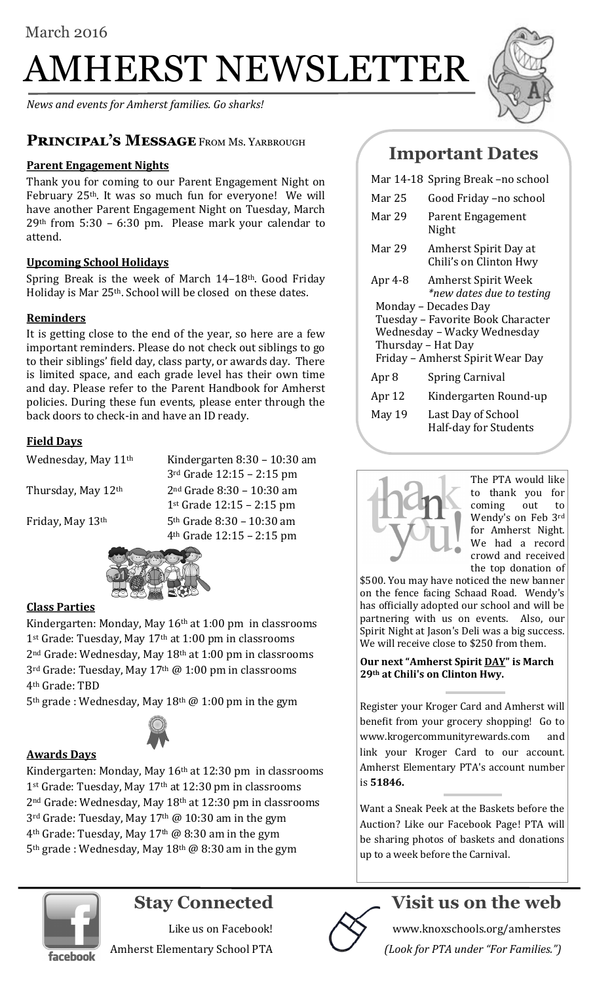# AMHERST NEWSLETTER

*News and events for Amherst families. Go sharks!*

## PRINCIPAL'S MESSAGE FROM MS. YARBROUGH

#### **Parent Engagement Nights**

Thank you for coming to our Parent Engagement Night on February 25th. It was so much fun for everyone! We will have another Parent Engagement Night on Tuesday, March 29th from 5:30 – 6:30 pm. Please mark your calendar to attend.

#### **Upcoming School Holidays**

Spring Break is the week of March 14–18th. Good Friday Holiday is Mar 25th. School will be closed on these dates.

#### **Reminders**

It is getting close to the end of the year, so here are a few important reminders. Please do not check out siblings to go to their siblings' field day, class party, or awards day. There is limited space, and each grade level has their own time and day. Please refer to the Parent Handbook for Amherst policies. During these fun events, please enter through the back doors to check-in and have an ID ready.

#### **Field Days**

Wednesday, May 11<sup>th</sup> Kindergarten 8:30 - 10:30 am 3rd Grade 12:15 – 2:15 pm Thursday, May  $12<sup>th</sup>$  2<sup>nd</sup> Grade 8:30 – 10:30 am 1st Grade 12:15 – 2:15 pm Friday, May  $13<sup>th</sup>$  5<sup>th</sup> Grade 8:30 – 10:30 am 4th Grade 12:15 – 2:15 pm



#### **Class Parties**

Kindergarten: Monday, May 16<sup>th</sup> at 1:00 pm in classrooms 1<sup>st</sup> Grade: Tuesday, May 17<sup>th</sup> at 1:00 pm in classrooms 2nd Grade: Wednesday, May 18th at 1:00 pm in classrooms 3rd Grade: Tuesday, May 17th @ 1:00 pm in classrooms 4th Grade: TBD

5th grade : Wednesday, May 18th @ 1:00 pm in the gym



#### **Awards Days**

Kindergarten: Monday, May 16th at 12:30 pm in classrooms 1<sup>st</sup> Grade: Tuesday, May 17<sup>th</sup> at 12:30 pm in classrooms 2nd Grade: Wednesday, May 18th at 12:30 pm in classrooms 3rd Grade: Tuesday, May 17th @ 10:30 am in the gym 4th Grade: Tuesday, May 17th @ 8:30 am in the gym 5<sup>th</sup> grade : Wednesday, May 18<sup>th</sup> @ 8:30 am in the gym



|                                  | Mar 14-18 Spring Break -no school                       |
|----------------------------------|---------------------------------------------------------|
| Mar 25                           | Good Friday -no school                                  |
| Mar 29                           | Parent Engagement<br>Night                              |
| Mar 29                           | Amherst Spirit Day at<br>Chili's on Clinton Hwy         |
| Apr 4-8                          | <b>Amherst Spirit Week</b><br>*new dates due to testing |
| Monday - Decades Day             |                                                         |
|                                  | Tuesday - Favorite Book Character                       |
| Wednesday - Wacky Wednesday      |                                                         |
| Thursday - Hat Day               |                                                         |
| Friday - Amherst Spirit Wear Day |                                                         |
| Apr 8                            | <b>Spring Carnival</b>                                  |
| Apr 12                           | Kindergarten Round-up                                   |
| May 19                           | Last Day of School<br>Half-day for Students             |



The PTA would like to thank you for coming out to Wendy's on Feb 3rd for Amherst Night. We had a record crowd and received the top donation of

\$500. You may have noticed the new banner on the fence facing Schaad Road. Wendy's has officially adopted our school and will be partnering with us on events. Also, our Spirit Night at Jason's Deli was a big success. We will receive close to \$250 from them.

**Our next "Amherst Spirit DAY" is March 29th at Chili's on Clinton Hwy.** 

Register your Kroger Card and Amherst will benefit from your grocery shopping! Go to [www.krogercommunityrewards.com a](http://www.krogercommunityrewards.com/)nd link your Kroger Card to our account. Amherst Elementary PTA's account number is **51846.**

Want a Sneak Peek at the Baskets before the Auction? Like our Facebook Page! PTA will be sharing photos of baskets and donations up to a week before the Carnival.



# **Stay Connected**

Like us on Facebook! Amherst Elementary School PTA



# **Visit us on the web**

www.knoxschools.org/amherstes *(Look for PTA under "For Families.")*